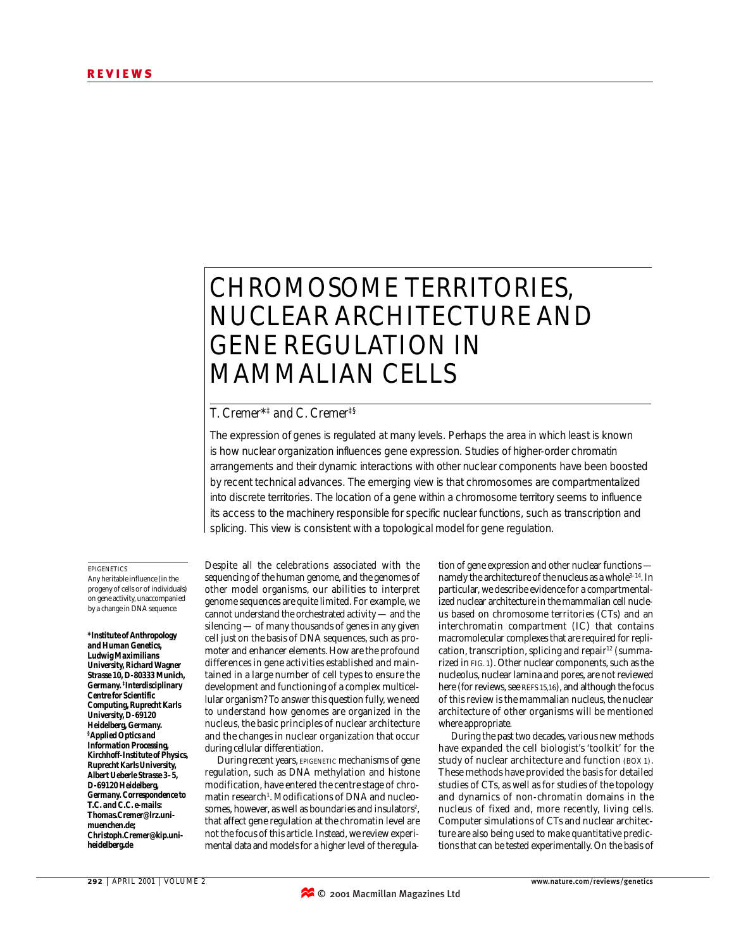# CHROMOSOME TERRITORIES, NUCLEAR ARCHITECTURE AND GENE REGULATION IN MAMMALIAN CELLS

# *T. Cremer\*‡ and C. Cremer‡§*

The expression of genes is regulated at many levels. Perhaps the area in which least is known is how nuclear organization influences gene expression. Studies of higher-order chromatin arrangements and their dynamic interactions with other nuclear components have been boosted by recent technical advances. The emerging view is that chromosomes are compartmentalized into discrete territories. The location of a gene within a chromosome territory seems to influence its access to the machinery responsible for specific nuclear functions, such as transcription and splicing. This view is consistent with a topological model for gene regulation.

#### **EPIGENETICS**

Any heritable influence (in the progeny of cells or of individuals) on gene activity, unaccompanied by a change in DNA sequence.

*\*Institute of Anthropology and Human Genetics, Ludwig Maximilians University, Richard Wagner Strasse 10, D-80333 Munich, Germany. ‡ Interdisciplinary Centre for Scientific Computing, Ruprecht Karls University, D-69120 Heidelberg, Germany. § Applied Optics and Information Processing, Kirchhoff-Institute of Physics, Ruprecht Karls University, Albert Ueberle Strasse 3–5, D-69120 Heidelberg, Germany. Correspondence to T.C. and C.C. e-mails: Thomas.Cremer@lrz.unimuenchen.de; Christoph.Cremer@kip.uniheidelberg.de*

Despite all the celebrations associated with the sequencing of the human genome, and the genomes of other model organisms, our abilities to interpret genome sequences are quite limited. For example, we cannot understand the orchestrated activity — and the silencing — of many thousands of genes in any given cell just on the basis of DNA sequences, such as promoter and enhancer elements. How are the profound differences in gene activities established and maintained in a large number of cell types to ensure the development and functioning of a complex multicellular organism? To answer this question fully, we need to understand how genomes are organized in the nucleus, the basic principles of nuclear architecture and the changes in nuclear organization that occur during cellular differentiation.

During recent years, EPIGENETIC mechanisms of gene regulation, such as DNA methylation and histone modification, have entered the centre stage of chromatin research<sup>1</sup>. Modifications of DNA and nucleosomes, however, as well as boundaries and insulators ${\rm ^2}$ , that affect gene regulation at the chromatin level are not the focus of this article. Instead, we review experimental data and models for a higher level of the regulation of gene expression and other nuclear functions namely the architecture of the nucleus as a whole<sup>3-14</sup>. In particular, we describe evidence for a compartmentalized nuclear architecture in the mammalian cell nucleus based on chromosome territories (CTs) and an interchromatin compartment (IC) that contains macromolecular complexes that are required for replication, transcription, splicing and repair<sup>12</sup> (summarized in FIG. 1). Other nuclear components, such as the nucleolus, nuclear lamina and pores, are not reviewed here (for reviews, see REFS 15,16), and although the focus of this review is the mammalian nucleus, the nuclear architecture of other organisms will be mentioned where appropriate.

During the past two decades, various new methods have expanded the cell biologist's 'toolkit' for the study of nuclear architecture and function (BOX 1). These methods have provided the basis for detailed studies of CTs, as well as for studies of the topology and dynamics of non-chromatin domains in the nucleus of fixed and, more recently, living cells. Computer simulations of CTs and nuclear architecture are also being used to make quantitative predictions that can be tested experimentally. On the basis of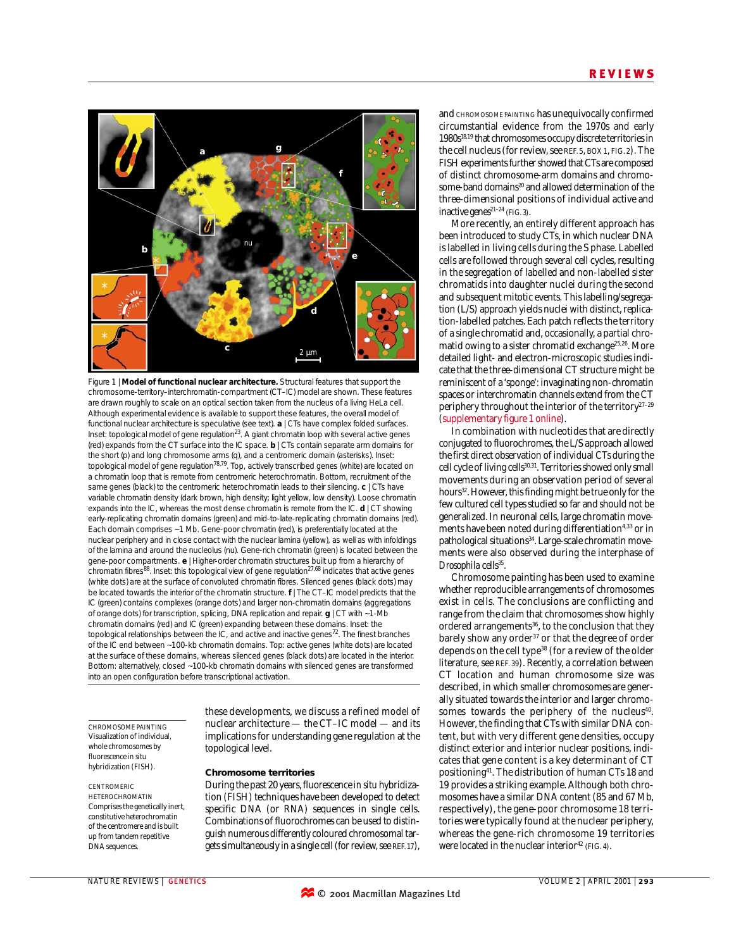

Figure 1 | **Model of functional nuclear architecture.** Structural features that support the chromosome-territory–interchromatin-compartment (CT–IC) model are shown. These features are drawn roughly to scale on an optical section taken from the nucleus of a living HeLa cell. Although experimental evidence is available to support these features, the overall model of functional nuclear architecture is speculative (see text). **a** | CTs have complex folded surfaces. Inset: topological model of gene regulation<sup>23</sup>. A giant chromatin loop with several active genes (red) expands from the CT surface into the IC space. **b** | CTs contain separate arm domains for the short (p) and long chromosome arms (q), and a centromeric domain (asterisks). Inset: topological model of gene regulation<sup>78,79</sup>. Top, actively transcribed genes (white) are located on a chromatin loop that is remote from centromeric heterochromatin. Bottom, recruitment of the same genes (black) to the centromeric heterochromatin leads to their silencing. **c** | CTs have variable chromatin density (dark brown, high density; light yellow, low density). Loose chromatin expands into the IC, whereas the most dense chromatin is remote from the IC. **d** | CT showing early-replicating chromatin domains (green) and mid-to-late-replicating chromatin domains (red). Each domain comprises ~1 Mb. Gene-poor chromatin (red), is preferentially located at the nuclear periphery and in close contact with the nuclear lamina (yellow), as well as with infoldings of the lamina and around the nucleolus (nu). Gene-rich chromatin (green) is located between the gene-poor compartments. **e** | Higher-order chromatin structures built up from a hierarchy of  $\text{chromatin fibres}^{88}$ . Inset: this topological view of gene regulation $^{27,68}$  indicates that active genes (white dots) are at the surface of convoluted chromatin fibres. Silenced genes (black dots) may be located towards the interior of the chromatin structure. **f** | The CT–IC model predicts that the IC (green) contains complexes (orange dots) and larger non-chromatin domains (aggregations of orange dots) for transcription, splicing, DNA replication and repair. **g** | CT with ~1-Mb chromatin domains (red) and IC (green) expanding between these domains. Inset: the topological relationships between the IC, and active and inactive genes<sup>72</sup>. The finest branches of the IC end between ~100-kb chromatin domains. Top: active genes (white dots) are located at the surface of these domains, whereas silenced genes (black dots) are located in the interior. Bottom: alternatively, closed ~100-kb chromatin domains with silenced genes are transformed into an open configuration before transcriptional activation.

CHROMOSOME PAINTING Visualization of individual, whole chromosomes by fluorescence *in situ* hybridization (FISH).

CENTROMERIC HETEROCHROMATIN Comprises the genetically inert, constitutive heterochromatin of the centromere and is built up from tandem repetitive DNA sequences.

these developments, we discuss a refined model of nuclear architecture — the CT–IC model — and its implications for understanding gene regulation at the topological level.

#### **Chromosome territories**

During the past 20 years, fluorescence *in situ* hybridization (FISH) techniques have been developed to detect specific DNA (or RNA) sequences in single cells. Combinations of fluorochromes can be used to distinguish numerous differently coloured chromosomal targets simultaneously in a single cell (for review, see REF. 17),

and CHROMOSOME PAINTING has unequivocally confirmed circumstantial evidence from the 1970s and early 1980s18,19 that chromosomes occupy discrete territories in the cell nucleus (for review, see REF. 5, BOX 1, FIG. 2). The FISH experiments further showed that CTs are composed of distinct chromosome-arm domains and chromosome-band domains<sup>20</sup> and allowed determination of the three-dimensional positions of individual active and inactive genes $21-24$  (FIG. 3).

More recently, an entirely different approach has been introduced to study CTs, in which nuclear DNA is labelled in living cells during the S phase. Labelled cells are followed through several cell cycles, resulting in the segregation of labelled and non-labelled sister chromatids into daughter nuclei during the second and subsequent mitotic events. This labelling/segregation (L/S) approach yields nuclei with distinct, replication-labelled patches. Each patch reflects the territory of a single chromatid and, occasionally, a partial chromatid owing to a sister chromatid exchange<sup>25,26</sup>. More detailed light- and electron-microscopic studies indicate that the three-dimensional CT structure might be reminiscent of a 'sponge': invaginating non-chromatin spaces or interchromatin channels extend from the CT periphery throughout the interior of the territory<sup>27-29</sup> (supplementary figure 1 online).

In combination with nucleotides that are directly conjugated to fluorochromes, the L/S approach allowed the first direct observation of individual CTs during the cell cycle of living cells<sup>30,31</sup>. Territories showed only small movements during an observation period of several hours<sup>32</sup>. However, this finding might be true only for the few cultured cell types studied so far and should not be generalized. In neuronal cells, large chromatin movements have been noted during differentiation<sup>4,33</sup> or in pathological situations<sup>34</sup>. Large-scale chromatin movements were also observed during the interphase of *Drosophila* cells35.

Chromosome painting has been used to examine whether reproducible arrangements of chromosomes exist in cells. The conclusions are conflicting and range from the claim that chromosomes show highly ordered arrangements<sup>36</sup>, to the conclusion that they barely show any order<sup>37</sup> or that the degree of order depends on the cell type38 (for a review of the older literature, see REF. 39). Recently, a correlation between CT location and human chromosome size was described, in which smaller chromosomes are generally situated towards the interior and larger chromosomes towards the periphery of the nucleus<sup>40</sup>. However, the finding that CTs with similar DNA content, but with very different gene densities, occupy distinct exterior and interior nuclear positions, indicates that gene content is a key determinant of CT positioning41. The distribution of human CTs 18 and 19 provides a striking example. Although both chromosomes have a similar DNA content (85 and 67 Mb, respectively), the gene-poor chromosome 18 territories were typically found at the nuclear periphery, whereas the gene-rich chromosome 19 territories were located in the nuclear interior $42$  (FIG. 4).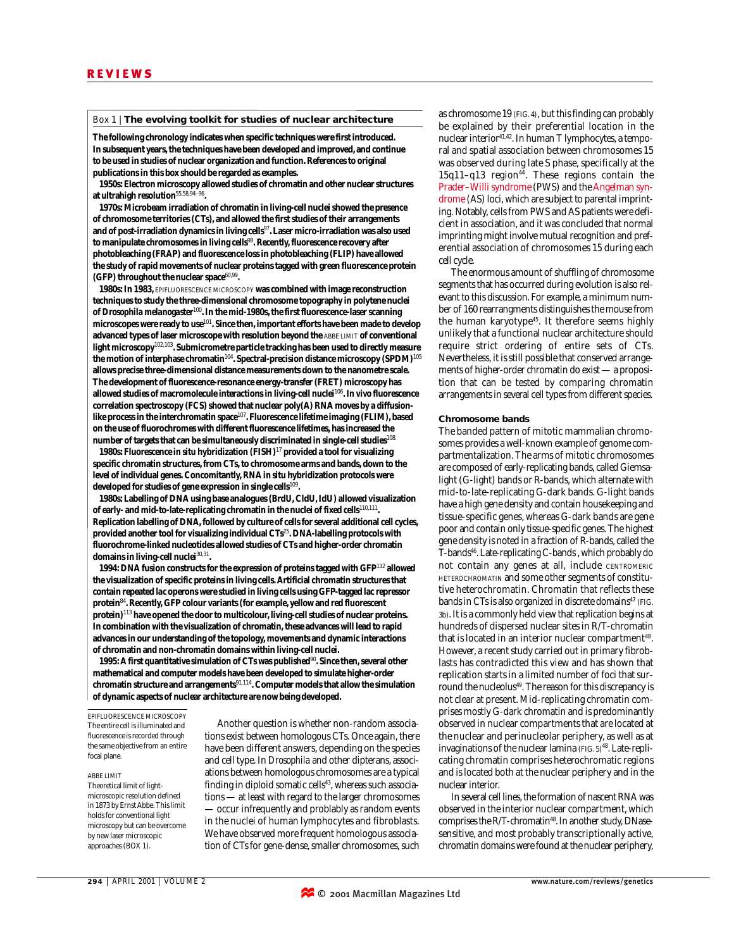# Box 1 | **The evolving toolkit for studies of nuclear architecture**

**The following chronology indicates when specific techniques were first introduced. In subsequent years, the techniques have been developed and improved, and continue to be used in studies of nuclear organization and function. References to original publications in this box should be regarded as examples.**

**1950s: Electron microscopy allowed studies of chromatin and other nuclear structures at ultrahigh resolution**55,58,94–96**.**

**1970s: Microbeam irradiation of chromatin in living-cell nuclei showed the presence of chromosome territories (CTs), and allowed the first studies of their arrangements and of post-irradiation dynamics in living cells**<sup>97</sup>**. Laser micro-irradiation was also used to manipulate chromosomes in living cells**<sup>98</sup>**. Recently, fluorescence recovery after photobleaching (FRAP) and fluorescence loss in photobleaching (FLIP) have allowed the study of rapid movements of nuclear proteins tagged with green fluorescence protein (GFP) throughout the nuclear space**60,99**.**

**1980s: In 1983,** EPIFLUORESCENCE MICROSCOPY **was combined with image reconstruction techniques to study the three-dimensional chromosome topography in polytene nuclei of** *Drosophila melanogaster*<sup>100</sup>**. In the mid-1980s, the first fluorescence-laser scanning microscopes were ready to use**<sup>101</sup>**. Since then, important efforts have been made to develop advanced types of laser microscope with resolution beyond the** ABBE LIMIT **of conventional light microscopy**102,103**. Submicrometre particle tracking has been used to directly measure the motion of interphase chromatin**<sup>104</sup>**. Spectral-precision distance microscopy (SPDM)**<sup>105</sup> **allows precise three-dimensional distance measurements down to the nanometre scale. The development of fluorescence-resonance energy-transfer (FRET) microscopy has allowed studies of macromolecule interactions in living-cell nuclei**<sup>106</sup>**.***In vivo* **fluorescence correlation spectroscopy (FCS) showed that nuclear poly(A) RNA moves by a diffusionlike process in the interchromatin space**<sup>107</sup>**. Fluorescence lifetime imaging (FLIM), based on the use of fluorochromes with different fluorescence lifetimes, has increased the number of targets that can be simultaneously discriminated in single-cell studies**108.

**1980s: Fluorescence** *in situ* **hybridization (FISH)**<sup>17</sup> **provided a tool for visualizing specific chromatin structures, from CTs, to chromosome arms and bands, down to the level of individual genes. Concomitantly, RNA** *in situ* **hybridization protocols were developed for studies of gene expression in single cells**<sup>109</sup>**.**

**1980s: Labelling of DNA using base analogues (BrdU, CldU, IdU) allowed visualization of early- and mid-to-late-replicating chromatin in the nuclei of fixed cells**110,111**. Replication labelling of DNA, followed by culture of cells for several additional cell cycles, provided another tool for visualizing individual CTs**<sup>25</sup>**. DNA-labelling protocols with fluorochrome-linked nucleotides allowed studies of CTs and higher-order chromatin domains in living-cell nuclei**30,31**.**

**1994: DNA fusion constructs for the expression of proteins tagged with GFP**<sup>112</sup> **allowed the visualization of specific proteins in living cells. Artificial chromatin structures that contain repeated** *lac* **operons were studied in living cells using GFP-tagged lac repressor protein**<sup>84</sup>**. Recently, GFP colour variants (for example, yellow and red fluorescent protein)**<sup>113</sup> **have opened the door to multicolour, living-cell studies of nuclear proteins. In combination with the visualization of chromatin, these advances will lead to rapid advances in our understanding of the topology, movements and dynamic interactions of chromatin and non-chromatin domains within living-cell nuclei.**

**1995: A first quantitative simulation of CTs was published**<sup>90</sup>**. Since then, several other mathematical and computer models have been developed to simulate higher-order chromatin structure and arrangements**91,114**. Computer models that allow the simulation of dynamic aspects of nuclear architecture are now being developed.**

EPIFLUORESCENCE MICROSCOPY The entire cell is illuminated and fluorescence is recorded through the same objective from an entire focal plane.

ABBE LIMIT Theoretical limit of lightmicroscopic resolution defined in 1873 by Ernst Abbe. This limit holds for conventional light microscopy but can be overcome by new laser microscopic approaches (BOX 1).

Another question is whether non-random associations exist between homologous CTs. Once again, there have been different answers, depending on the species and cell type. In *Drosophila* and other dipterans, associations between homologous chromosomes are a typical finding in diploid somatic cells<sup>43</sup>, whereas such associations — at least with regard to the larger chromosomes — occur infrequently and problably as random events in the nuclei of human lymphocytes and fibroblasts. We have observed more frequent homologous association of CTs for gene-dense, smaller chromosomes, such

as chromosome 19 (FIG. 4), but this finding can probably be explained by their preferential location in the nuclear interior41,42. In human T lymphocytes, a temporal and spatial association between chromosomes 15 was observed during late S phase, specifically at the  $15q11-q13$  region<sup>44</sup>. These regions contain the Prader–Willi syndrome (PWS) and the Angelman syndrome (AS) loci, which are subject to parental imprinting. Notably, cells from PWS and AS patients were deficient in association, and it was concluded that normal imprinting might involve mutual recognition and preferential association of chromosomes 15 during each cell cycle.

The enormous amount of shuffling of chromosome segments that has occurred during evolution is also relevant to this discussion. For example, a minimum number of 160 rearrangments distinguishes the mouse from the human karyotype45. It therefore seems highly unlikely that a functional nuclear architecture should require strict ordering of entire sets of CTs. Nevertheless, it is still possible that conserved arrangements of higher-order chromatin do exist — a proposition that can be tested by comparing chromatin arrangements in several cell types from different species.

### **Chromosome bands**

The banded pattern of mitotic mammalian chromosomes provides a well-known example of genome compartmentalization. The arms of mitotic chromosomes are composed of early-replicating bands, called Giemsalight (G-light) bands or R-bands, which alternate with mid-to-late-replicating G-dark bands. G-light bands have a high gene density and contain housekeeping and tissue-specific genes, whereas G-dark bands are gene poor and contain only tissue-specific genes. The highest gene density is noted in a fraction of R-bands, called the T-bands<sup>46</sup>. Late-replicating C-bands, which probably do not contain any genes at all, include CENTROMERIC HETEROCHROMATIN and some other segments of constitutive heterochromatin. Chromatin that reflects these bands in CTs is also organized in discrete domains $47$  (FIG. 3b). It is a commonly held view that replication begins at hundreds of dispersed nuclear sites in R/T-chromatin that is located in an interior nuclear compartment<sup>48</sup>. However, a recent study carried out in primary fibroblasts has contradicted this view and has shown that replication starts in a limited number of foci that surround the nucleolus<sup>49</sup>. The reason for this discrepancy is not clear at present. Mid-replicating chromatin comprises mostly G-dark chromatin and is predominantly observed in nuclear compartments that are located at the nuclear and perinucleolar periphery, as well as at invaginations of the nuclear lamina  $(FIG. 5)$ <sup>48</sup>. Late-replicating chromatin comprises heterochromatic regions and is located both at the nuclear periphery and in the nuclear interior.

In several cell lines, the formation of nascent RNA was observed in the interior nuclear compartment, which comprises the R/T-chromatin<sup>48</sup>. In another study, DNasesensitive, and most probably transcriptionally active, chromatin domains were found at the nuclear periphery,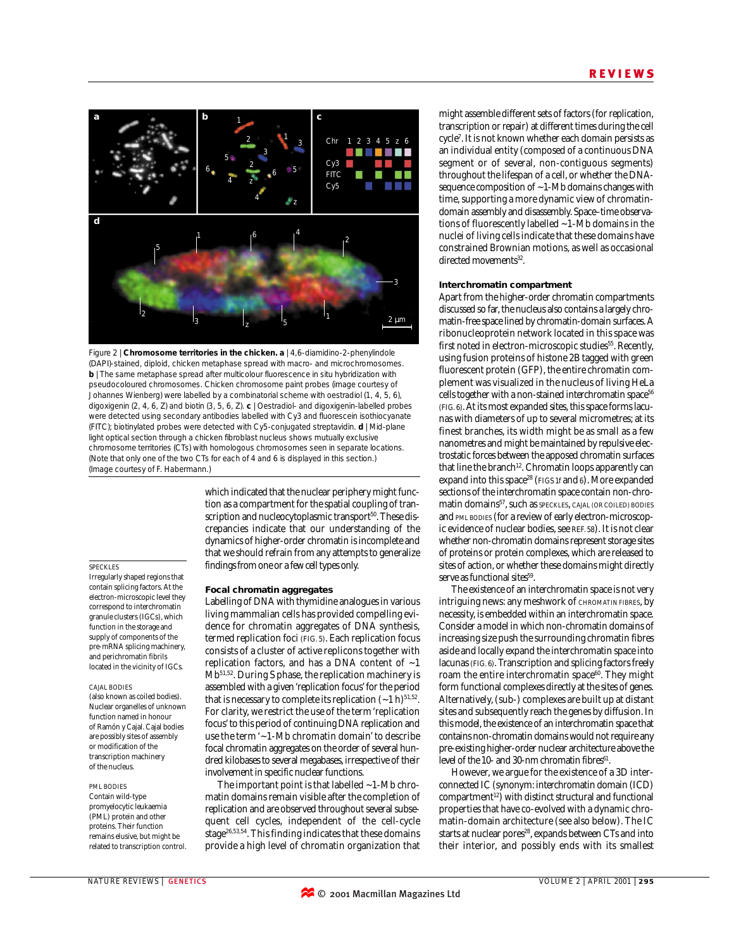

Figure 2 | **Chromosome territories in the chicken. a** | 4,6-diamidino-2-phenylindole (DAPI)-stained, diploid, chicken metaphase spread with macro- and microchromosomes. **b** | The same metaphase spread after multicolour fluorescence *in situ* hybridization with pseudocoloured chromosomes. Chicken chromosome paint probes (image courtesy of Johannes Wienberg) were labelled by a combinatorial scheme with oestradiol (1, 4, 5, 6), digoxigenin (2, 4, 6, Z) and biotin (3, 5, 6, Z). **c** | Oestradiol- and digoxigenin-labelled probes were detected using secondary antibodies labelled with Cy3 and fluorescein isothiocyanate (FITC); biotinylated probes were detected with Cy5-conjugated streptavidin. **d** | Mid-plane light optical section through a chicken fibroblast nucleus shows mutually exclusive chromosome territories (CTs) with homologous chromosomes seen in separate locations. (Note that only one of the two CTs for each of 4 and 6 is displayed in this section.) (Image courtesy of F. Habermann.)

which indicated that the nuclear periphery might function as a compartment for the spatial coupling of transcription and nucleocytoplasmic transport<sup>50</sup>. These discrepancies indicate that our understanding of the dynamics of higher-order chromatin is incomplete and that we should refrain from any attempts to generalize findings from one or a few cell types only.

## SPECKLES

Irregularly shaped regions that contain splicing factors. At the electron-microscopic level they correspond to interchromatin granule clusters (IGCs), which function in the storage and supply of components of the pre-mRNA splicing machinery, and perichromatin fibrils located in the vicinity of IGCs.

#### CAJAL BODIES

(also known as coiled bodies). Nuclear organelles of unknown function named in honour of Ramón y Cajal. Cajal bodies are possibly sites of assembly or modification of the transcription machinery of the nucleus.

## PML BODIES

Contain wild-type promyelocytic leukaemia (PML) protein and other proteins. Their function remains elusive, but might be related to transcription control.

#### **Focal chromatin aggregates**

Labelling of DNA with thymidine analogues in various living mammalian cells has provided compelling evidence for chromatin aggregates of DNA synthesis, termed replication foci (FIG. 5). Each replication focus consists of a cluster of active replicons together with replication factors, and has a DNA content of  $\sim$ 1 Mb51,52. During S phase, the replication machinery is assembled with a given 'replication focus' for the period that is necessary to complete its replication  $(-1 h)^{51,52}$ . For clarity, we restrict the use of the term 'replication focus' to this period of continuing DNA replication and use the term '~1-Mb chromatin domain' to describe focal chromatin aggregates on the order of several hundred kilobases to several megabases, irrespective of their involvement in specific nuclear functions.

The important point is that labelled  $\sim$  1-Mb chromatin domains remain visible after the completion of replication and are observed throughout several subsequent cell cycles, independent of the cell-cycle stage26,53,54. This finding indicates that these domains provide a high level of chromatin organization that

might assemble different sets of factors (for replication, transcription or repair) at different times during the cell cycle7 . It is not known whether each domain persists as an individual entity (composed of a continuous DNA segment or of several, non-contiguous segments) throughout the lifespan of a cell, or whether the DNAsequence composition of ~1-Mb domains changes with time, supporting a more dynamic view of chromatindomain assembly and disassembly. Space–time observations of fluorescently labelled ~1-Mb domains in the nuclei of living cells indicate that these domains have constrained Brownian motions, as well as occasional directed movements<sup>32</sup>.

## **Interchromatin compartment**

Apart from the higher-order chromatin compartments discussed so far, the nucleus also contains a largely chromatin-free space lined by chromatin-domain surfaces. A ribonucleoprotein network located in this space was first noted in electron-microscopic studies<sup>55</sup>. Recently, using fusion proteins of histone 2B tagged with green fluorescent protein (GFP), the entire chromatin complement was visualized in the nucleus of living HeLa cells together with a non-stained interchromatin space<sup>56</sup> (FIG. 6). At its most expanded sites, this space forms lacunas with diameters of up to several micrometres; at its finest branches, its width might be as small as a few nanometres and might be maintained by repulsive electrostatic forces between the apposed chromatin surfaces that line the branch<sup>12</sup>. Chromatin loops apparently can expand into this space<sup>28</sup> (FIGS 1f and 6). More expanded sections of the interchromatin space contain non-chromatin domains<sup>57</sup>, such as *SPECKLES*, CAJAL (OR COILED) BODIES and PML BODIES (for a review of early electron-microscopic evidence of nuclear bodies, see REF. 58). It is not clear whether non-chromatin domains represent storage sites of proteins or protein complexes, which are released to sites of action, or whether these domains might directly serve as functional sites<sup>59</sup>.

The existence of an interchromatin space is not very intriguing news: any meshwork of CHROMATIN FIBRES, by necessity, is embedded within an interchromatin space. Consider a model in which non-chromatin domains of increasing size push the surrounding chromatin fibres aside and locally expand the interchromatin space into lacunas (FIG. 6). Transcription and splicing factors freely roam the entire interchromatin space $60$ . They might form functional complexes directly at the sites of genes. Alternatively, (sub-) complexes are built up at distant sites and subsequently reach the genes by diffusion. In this model, the existence of an interchromatin space that contains non-chromatin domains would not require any pre-existing higher-order nuclear architecture above the level of the  $10$ - and  $30$ -nm chromatin fibres $61$ .

However, we argue for the existence of a 3D interconnected IC (synonym: interchromatin domain (ICD)  $compartment<sup>12</sup>$ ) with distinct structural and functional properties that have co-evolved with a dynamic chromatin-domain architecture (see also below). The IC starts at nuclear pores<sup>28</sup>, expands between CTs and into their interior, and possibly ends with its smallest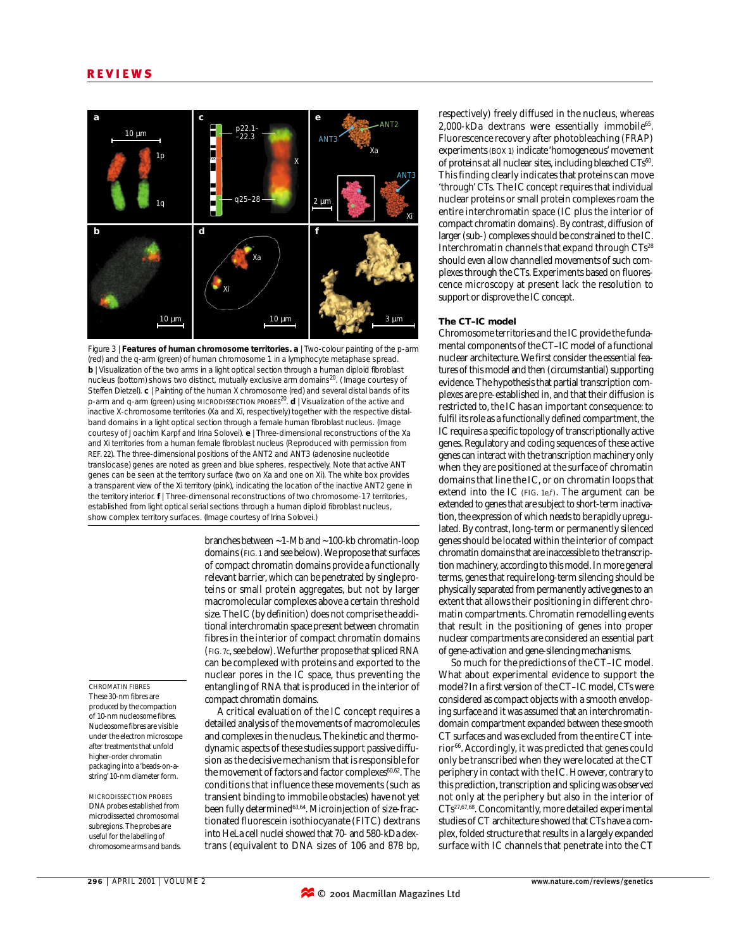

Figure 3 | **Features of human chromosome territories. a** | Two-colour painting of the p-arm (red) and the q-arm (green) of human chromosome 1 in a lymphocyte metaphase spread. **b** | Visualization of the two arms in a light optical section through a human diploid fibroblast nucleus (bottom) shows two distinct, mutually exclusive arm domains<sup>20</sup>. (Image courtesy of Steffen Dietzel). **c** | Painting of the human X chromosome (red) and several distal bands of its p-arm and q-arm (green) using MICRODISSECTION PROBES<sup>20</sup>. **d** | Visualization of the active and inactive X-chromosome territories (Xa and Xi, respectively) together with the respective distalband domains in a light optical section through a female human fibroblast nucleus. (Image courtesy of Joachim Karpf and Irina Solovei). **e** | Three-dimensional reconstructions of the Xa and Xi territories from a human female fibroblast nucleus (Reproduced with permission from REF. 22). The three-dimensional positions of the *ANT2* and *ANT3* (adenosine nucleotide translocase) genes are noted as green and blue spheres, respectively. Note that active *ANT* genes can be seen at the territory surface (two on Xa and one on Xi). The white box provides a transparent view of the Xi territory (pink), indicating the location of the inactive *ANT2* gene in the territory interior. **f** | Three-dimensonal reconstructions of two chromosome-17 territories, established from light optical serial sections through a human diploid fibroblast nucleus, show complex territory surfaces. (Image courtesy of Irina Solovei.)

branches between ~1-Mb and ~100-kb chromatin-loop domains (FIG. 1 and see below). We propose that surfaces of compact chromatin domains provide a functionally relevant barrier, which can be penetrated by single proteins or small protein aggregates, but not by larger macromolecular complexes above a certain threshold size. The IC (by definition) does not comprise the additional interchromatin space present between chromatin fibres in the interior of compact chromatin domains (FIG. 7c, see below). We further propose that spliced RNA can be complexed with proteins and exported to the nuclear pores in the IC space, thus preventing the entangling of RNA that is produced in the interior of compact chromatin domains.

A critical evaluation of the IC concept requires a detailed analysis of the movements of macromolecules and complexes in the nucleus. The kinetic and thermodynamic aspects of these studies support passive diffusion as the decisive mechanism that is responsible for the movement of factors and factor complexes<sup>60,62</sup>. The conditions that influence these movements (such as transient binding to immobile obstacles) have not yet been fully determined<sup>63,64</sup>. Microinjection of size-fractionated fluorescein isothiocyanate (FITC) dextrans into HeLa cell nuclei showed that 70- and 580-kDa dextrans (equivalent to DNA sizes of 106 and 878 bp,

respectively) freely diffused in the nucleus, whereas 2,000-kDa dextrans were essentially immobile<sup>65</sup>. Fluorescence recovery after photobleaching (FRAP) experiments (BOX 1) indicate 'homogeneous' movement of proteins at all nuclear sites, including bleached CTs<sup>60</sup>. This finding clearly indicates that proteins can move 'through' CTs. The IC concept requires that individual nuclear proteins or small protein complexes roam the entire interchromatin space (IC plus the interior of compact chromatin domains). By contrast, diffusion of larger (sub-) complexes should be constrained to the IC. Interchromatin channels that expand through CTs28 should even allow channelled movements of such complexes through the CTs. Experiments based on fluorescence microscopy at present lack the resolution to support or disprove the IC concept.

# **The CT–IC model**

Chromosome territories and the IC provide the fundamental components of the CT–IC model of a functional nuclear architecture. We first consider the essential features of this model and then (circumstantial) supporting evidence. The hypothesis that partial transcription complexes are pre-established in, and that their diffusion is restricted to, the IC has an important consequence: to fulfil its role as a functionally defined compartment, the IC requires a specific topology of transcriptionally active genes. Regulatory and coding sequences of these active genes can interact with the transcription machinery only when they are positioned at the surface of chromatin domains that line the IC, or on chromatin loops that extend into the IC (FIG. 1e,f). The argument can be extended to genes that are subject to short-term inactivation, the expression of which needs to be rapidly upregulated. By contrast, long-term or permanently silenced genes should be located within the interior of compact chromatin domains that are inaccessible to the transcription machinery, according to this model. In more general terms, genes that require long-term silencing should be physically separated from permanently active genes to an extent that allows their positioning in different chromatin compartments. Chromatin remodelling events that result in the positioning of genes into proper nuclear compartments are considered an essential part of gene-activation and gene-silencing mechanisms.

So much for the predictions of the CT–IC model. What about experimental evidence to support the model? In a first version of the CT–IC model, CTs were considered as compact objects with a smooth enveloping surface and it was assumed that an interchromatindomain compartment expanded between these smooth CT surfaces and was excluded from the entire CT interior66. Accordingly, it was predicted that genes could only be transcribed when they were located at the CT periphery in contact with the IC.However, contrary to this prediction, transcription and splicing was observed not only at the periphery but also in the interior of CTs27,67,68. Concomitantly, more detailed experimental studies of CT architecture showed that CTs have a complex, folded structure that results in a largely expanded surface with IC channels that penetrate into the CT

#### CHROMATIN FIBRES

These 30-nm fibres are produced by the compaction of 10-nm nucleosome fibres. Nucleosome fibres are visible under the electron microscope after treatments that unfold higher-order chromatin packaging into a 'beads-on-astring' 10-nm diameter form.

MICRODISSECTION PROBES DNA probes established from microdissected chromosomal subregions. The probes are useful for the labelling of chromosome arms and bands.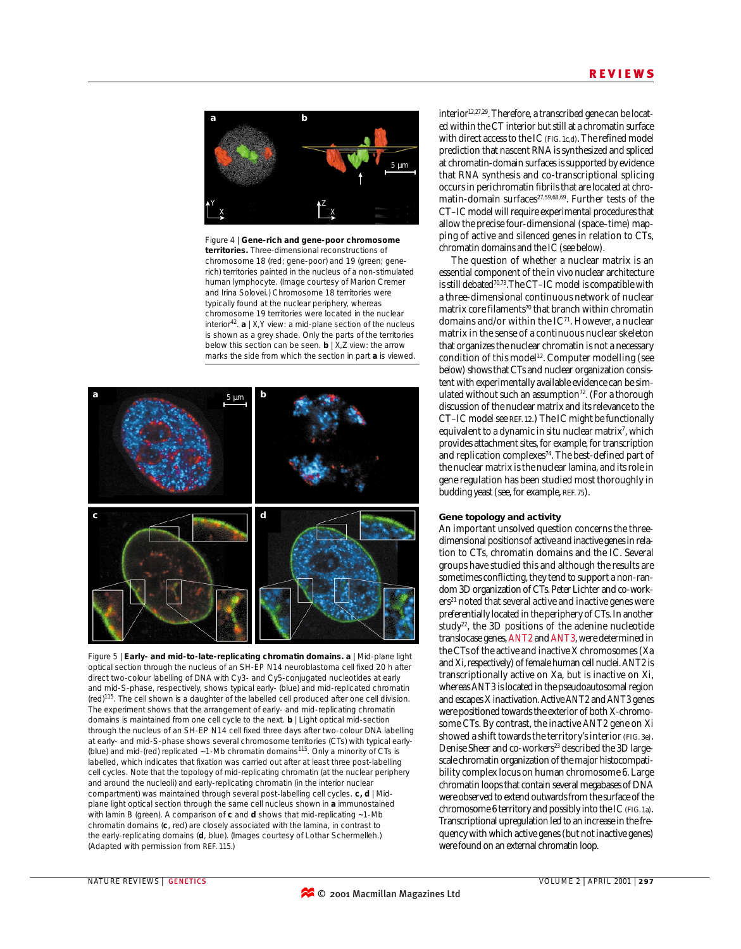# REVIEWS



Figure 4 | **Gene-rich and gene-poor chromosome territories.** Three-dimensional reconstructions of chromosome 18 (red; gene-poor) and 19 (green; generich) territories painted in the nucleus of a non-stimulated human lymphocyte. (Image courtesy of Marion Cremer and Irina Solovei.) Chromosome 18 territories were typically found at the nuclear periphery, whereas chromosome 19 territories were located in the nuclear interior42. **a** | X,Y view: a mid-plane section of the nucleus is shown as a grey shade. Only the parts of the territories below this section can be seen. **b** | X,Z view: the arrow marks the side from which the section in part **a** is viewed.



Figure 5 | **Early- and mid-to-late-replicating chromatin domains. a** | Mid-plane light optical section through the nucleus of an SH-EP N14 neuroblastoma cell fixed 20 h after direct two-colour labelling of DNA with Cy3- and Cy5-conjugated nucleotides at early and mid-S-phase, respectively, shows typical early- (blue) and mid-replicated chromatin (red)115. The cell shown is a daughter of the labelled cell produced after one cell division. The experiment shows that the arrangement of early- and mid-replicating chromatin domains is maintained from one cell cycle to the next. **b** | Light optical mid-section through the nucleus of an SH-EP N14 cell fixed three days after two-colour DNA labelling at early- and mid-S-phase shows several chromosome territories (CTs) with typical early- (blue) and mid-(red) replicated ~1-Mb chromatin domains115. Only a minority of CTs is labelled, which indicates that fixation was carried out after at least three post-labelling cell cycles. Note that the topology of mid-replicating chromatin (at the nuclear periphery and around the nucleoli) and early-replicating chromatin (in the interior nuclear compartment) was maintained through several post-labelling cell cycles. **c, d** | Midplane light optical section through the same cell nucleus shown in **a** immunostained with lamin B (green). A comparison of **c** and **d** shows that mid-replicating ~1-Mb chromatin domains (**c**, red) are closely associated with the lamina, in contrast to the early-replicating domains (**d**, blue). (Images courtesy of Lothar Schermelleh.) (Adapted with permission from REF. 115.)

interior<sup>12,27,29</sup>. Therefore, a transcribed gene can be located within the CT interior but still at a chromatin surface with direct access to the IC (FIG. 1c,d). The refined model prediction that nascent RNA is synthesized and spliced at chromatin-domain surfaces is supported by evidence that RNA synthesis and co-transcriptional splicing occurs in perichromatin fibrils that are located at chromatin-domain surfaces<sup>27,59,68,69</sup>. Further tests of the CT–IC model will require experimental procedures that allow the precise four-dimensional (space–time) mapping of active and silenced genes in relation to CTs, chromatin domains and the IC (see below).

The question of whether a nuclear matrix is an essential component of the *in vivo* nuclear architecture is still debated70,73.The CT–IC model is compatible with a three-dimensional continuous network of nuclear matrix core filaments<sup>70</sup> that branch within chromatin domains and/or within the IC<sup>71</sup>. However, a nuclear matrix in the sense of a continuous nuclear skeleton that organizes the nuclear chromatin is not a necessary condition of this model<sup>12</sup>. Computer modelling (see below) shows that CTs and nuclear organization consistent with experimentally available evidence can be simulated without such an assumption<sup>72</sup>. (For a thorough discussion of the nuclear matrix and its relevance to the CT–IC model see REF. 12.) The IC might be functionally equivalent to a dynamic *in situ* nuclear matrix<sup>7</sup>, which provides attachment sites, for example, for transcription and replication complexes<sup>74</sup>. The best-defined part of the nuclear matrix is the nuclear lamina, and its role in gene regulation has been studied most thoroughly in budding yeast (see, for example, REF. 75).

# **Gene topology and activity**

An important unsolved question concerns the threedimensional positions of active and inactive genes in relation to CTs, chromatin domains and the IC. Several groups have studied this and although the results are sometimes conflicting, they tend to support a non-random 3D organization of CTs. Peter Lichter and co-workers<sup>21</sup> noted that several active and inactive genes were preferentially located in the periphery of CTs. In another study<sup>22</sup>, the 3D positions of the adenine nucleotide translocase genes,*ANT2* and *ANT3*, were determined in the CTs of the active and inactive X chromosomes (Xa and Xi, respectively) of female human cell nuclei.*ANT2* is transcriptionally active on Xa, but is inactive on Xi, whereas *ANT3* is located in the pseudoautosomal region and escapes X inactivation.Active *ANT2* and *ANT3* genes were positioned towards the exterior of both X-chromosome CTs. By contrast, the inactive *ANT2* gene on Xi showed a shift towards the territory's interior (FIG. 3e). Denise Sheer and co-workers<sup>23</sup> described the 3D largescale chromatin organization of the major histocompatibility complex locus on human chromosome 6. Large chromatin loops that contain several megabases of DNA were observed to extend outwards from the surface of the chromosome 6 territory and possibly into the IC (FIG. 1a). Transcriptional upregulation led to an increase in the frequency with which active genes (but not inactive genes) were found on an external chromatin loop.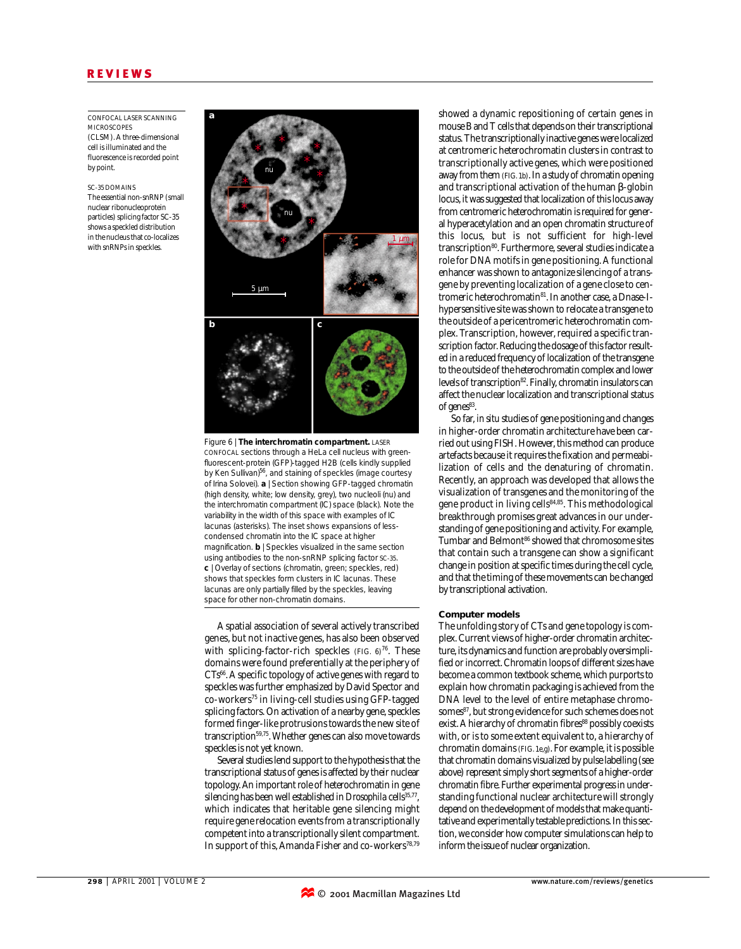# REVIEWS

#### CONFOCAL LASER SCANNING **MICROSCOPES** (CLSM). A three-dimensional cell is illuminated and the fluorescence is recorded point by point.

#### SC-35 DOMAINS

The essential non-snRNP (small nuclear ribonucleoprotein particles) splicing factor SC-35 shows a speckled distribution in the nucleus that co-localizes with snRNPs in speckles.



Figure 6 | **The interchromatin compartment.** LASER CONFOCAL sections through a HeLa cell nucleus with greenfluorescent-protein (GFP)-tagged H2B (cells kindly supplied by Ken Sullivan)<sup>56</sup>, and staining of speckles (image courtesy of Irina Solovei). **a** | Section showing GFP-tagged chromatin (high density, white; low density, grey), two nucleoli (nu) and the interchromatin compartment (IC) space (black). Note the variability in the width of this space with examples of IC lacunas (asterisks). The inset shows expansions of lesscondensed chromatin into the IC space at higher magnification. **b** | Speckles visualized in the same section using antibodies to the non-snRNP splicing factor SC-35. **c** | Overlay of sections (chromatin, green; speckles, red) shows that speckles form clusters in IC lacunas. These lacunas are only partially filled by the speckles, leaving space for other non-chromatin domains.

A spatial association of several actively transcribed genes, but not inactive genes, has also been observed with splicing-factor-rich speckles (FIG.  $6)^{76}$ . These domains were found preferentially at the periphery of CTs<sup>66</sup>. A specific topology of active genes with regard to speckles was further emphasized by David Spector and co-workers75 in living-cell studies using GFP-tagged splicing factors. On activation of a nearby gene, speckles formed finger-like protrusions towards the new site of transcription59,75. Whether genes can also move towards speckles is not yet known.

Several studies lend support to the hypothesis that the transcriptional status of genes is affected by their nuclear topology.An important role of heterochromatin in gene silencing has been well established in *Drosophila* cells<sup>35,77</sup>, which indicates that heritable gene silencing might require gene relocation events from a transcriptionally competent into a transcriptionally silent compartment. In support of this, Amanda Fisher and co-workers<sup>78,79</sup>

showed a dynamic repositioning of certain genes in mouse B and T cells that depends on their transcriptional status. The transcriptionally inactive genes were localized at centromeric heterochromatin clusters in contrast to transcriptionally active genes, which were positioned away from them (FIG. 1b). In a study of chromatin opening and transcriptional activation of the human β-globin locus, it was suggested that localization of this locus away from centromeric heterochromatin is required for general hyperacetylation and an open chromatin structure of this locus, but is not sufficient for high-level transcription<sup>80</sup>. Furthermore, several studies indicate a role for DNA motifs in gene positioning. A functional enhancer was shown to antagonize silencing of a transgene by preventing localization of a gene close to centromeric heterochromatin<sup>81</sup>. In another case, a Dnase-Ihypersensitive site was shown to relocate a transgene to the outside of a pericentromeric heterochromatin complex. Transcription, however, required a specific transcription factor. Reducing the dosage of this factor resulted in a reduced frequency of localization of the transgene to the outside of the heterochromatin complex and lower levels of transcription<sup>82</sup>. Finally, chromatin insulators can affect the nuclear localization and transcriptional status of genes<sup>83</sup>.

So far,*in situ* studies of gene positioning and changes in higher-order chromatin architecture have been carried out using FISH. However, this method can produce artefacts because it requires the fixation and permeabilization of cells and the denaturing of chromatin. Recently, an approach was developed that allows the visualization of transgenes and the monitoring of the gene product in living cells<sup>84,85</sup>. This methodological breakthrough promises great advances in our understanding of gene positioning and activity. For example, Tumbar and Belmont<sup>86</sup> showed that chromosome sites that contain such a transgene can show a significant change in position at specific times during the cell cycle, and that the timing of these movements can be changed by transcriptional activation.

# **Computer models**

The unfolding story of CTs and gene topology is complex. Current views of higher-order chromatin architecture, its dynamics and function are probably oversimplified or incorrect. Chromatin loops of different sizes have become a common textbook scheme, which purports to explain how chromatin packaging is achieved from the DNA level to the level of entire metaphase chromosomes<sup>87</sup>, but strong evidence for such schemes does not exist. A hierarchy of chromatin fibres<sup>88</sup> possibly coexists with, or is to some extent equivalent to, a hierarchy of chromatin domains (FIG. 1e,g). For example, it is possible that chromatin domains visualized by pulse labelling (see above) represent simply short segments of a higher-order chromatin fibre. Further experimental progress in understanding functional nuclear architecture will strongly depend on the development of models that make quantitative and experimentally testable predictions. In this section, we consider how computer simulations can help to inform the issue of nuclear organization.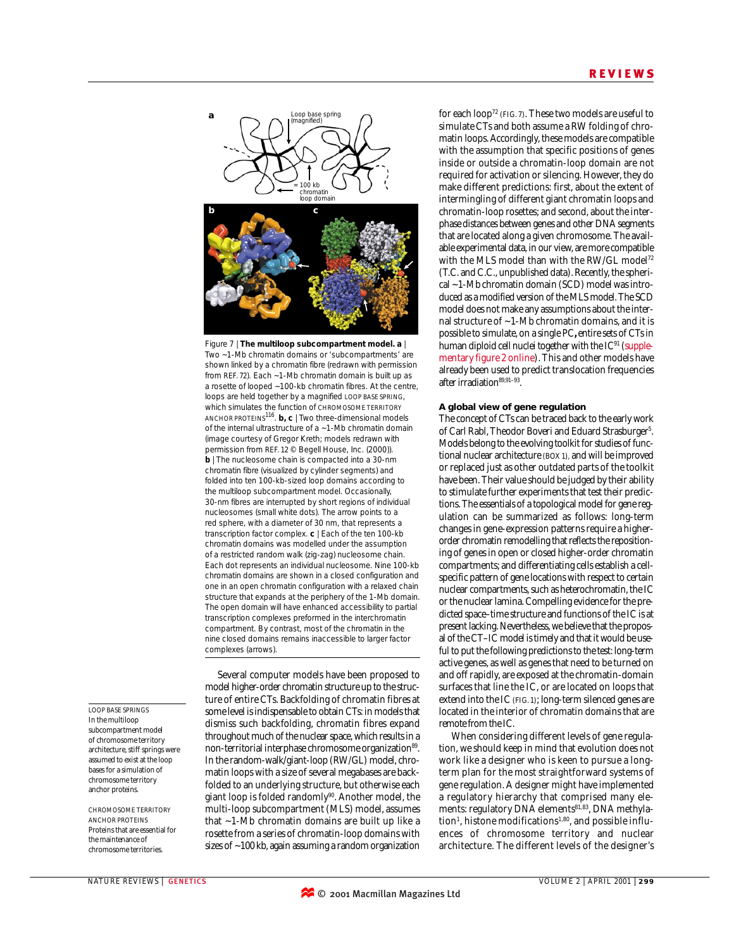

Figure 7 | **The multiloop subcompartment model. a** | Two ~1-Mb chromatin domains or 'subcompartments' are shown linked by a chromatin fibre (redrawn with permission from REF. 72). Each ~1-Mb chromatin domain is built up as a rosette of looped ~100-kb chromatin fibres. At the centre, loops are held together by a magnified LOOP BASE SPRING, which simulates the function of CHROMOSOME TERRITORY ANCHOR PROTEINS116. **b, c** | Two three-dimensional models of the internal ultrastructure of a ~1-Mb chromatin domain (image courtesy of Gregor Kreth; models redrawn with permission from REF. 12 © Begell House, Inc. (2000)). **b** | The nucleosome chain is compacted into a 30-nm chromatin fibre (visualized by cylinder segments) and folded into ten 100-kb-sized loop domains according to the multiloop subcompartment model. Occasionally, 30-nm fibres are interrupted by short regions of individual nucleosomes (small white dots). The arrow points to a red sphere, with a diameter of 30 nm, that represents a transcription factor complex. **c** | Each of the ten 100-kb chromatin domains was modelled under the assumption of a restricted random walk (zig-zag) nucleosome chain. Each dot represents an individual nucleosome. Nine 100-kb chromatin domains are shown in a closed configuration and one in an open chromatin configuration with a relaxed chain structure that expands at the periphery of the 1-Mb domain. The open domain will have enhanced accessibility to partial transcription complexes preformed in the interchromatin compartment. By contrast, most of the chromatin in the nine closed domains remains inaccessible to larger factor

Several computer models have been proposed to model higher-order chromatin structure up to the structure of entire CTs. Backfolding of chromatin fibres at some level is indispensable to obtain CTs: in models that dismiss such backfolding, chromatin fibres expand throughout much of the nuclear space, which results in a non-territorial interphase chromosome organization<sup>89</sup>. In the random-walk/giant-loop (RW/GL) model, chromatin loops with a size of several megabases are backfolded to an underlying structure, but otherwise each giant loop is folded randomly<sup>90</sup>. Another model, the multi-loop subcompartment (MLS) model, assumes that ~1-Mb chromatin domains are built up like a rosette from a series of chromatin-loop domains with sizes of ~100 kb, again assuming a random organization

complexes (arrows).

for each loop<sup>72</sup> (FIG. 7). These two models are useful to simulate CTs and both assume a RW folding of chromatin loops. Accordingly, these models are compatible with the assumption that specific positions of genes inside or outside a chromatin-loop domain are not required for activation or silencing. However, they do make different predictions: first, about the extent of intermingling of different giant chromatin loops and chromatin-loop rosettes; and second, about the interphase distances between genes and other DNA segments that are located along a given chromosome. The available experimental data, in our view, are more compatible with the MLS model than with the RW/GL model<sup>72</sup> (T.C. and C.C., unpublished data). Recently, the spherical ~1-Mb chromatin domain (SCD) model was introduced as a modified version of the MLS model. The SCD model does not make any assumptions about the internal structure of ~1-Mb chromatin domains, and it is possible to simulate, on a single PC**,** entire sets of CTs in human diploid cell nuclei together with the IC<sup>91</sup> (supplementary figure 2 online). This and other models have already been used to predict translocation frequencies after irradiation<sup>89,91-93</sup>.

#### **A global view of gene regulation**

The concept of CTs can be traced back to the early work of Carl Rabl, Theodor Boveri and Eduard Strasburger<sup>5</sup>. Models belong to the evolving toolkit for studies of functional nuclear architecture (BOX 1), and will be improved or replaced just as other outdated parts of the toolkit have been. Their value should be judged by their ability to stimulate further experiments that test their predictions. The essentials of a topological model for gene regulation can be summarized as follows: long-term changes in gene-expression patterns require a higherorder chromatin remodelling that reflects the repositioning of genes in open or closed higher-order chromatin compartments; and differentiating cells establish a cellspecific pattern of gene locations with respect to certain nuclear compartments, such as heterochromatin, the IC or the nuclear lamina. Compelling evidence for the predicted space–time structure and functions of the IC is at present lacking. Nevertheless, we believe that the proposal of the CT–IC model is timely and that it would be useful to put the following predictions to the test: long-term active genes, as well as genes that need to be turned on and off rapidly, are exposed at the chromatin-domain surfaces that line the IC, or are located on loops that extend into the IC (FIG. 1); long-term silenced genes are located in the interior of chromatin domains that are remote from the IC.

When considering different levels of gene regulation, we should keep in mind that evolution does not work like a designer who is keen to pursue a longterm plan for the most straightforward systems of gene regulation. A designer might have implemented a regulatory hierarchy that comprised many elements: regulatory DNA elements<sup>81,83</sup>, DNA methylation<sup>1</sup>, histone modifications<sup>1,80</sup>, and possible influences of chromosome territory and nuclear architecture. The different levels of the designer's

LOOP BASE SPRINGS In the multiloop subcompartment model of chromosome territory architecture, stiff springs were assumed to exist at the loop bases for a simulation of chromosome territory anchor proteins.

CHROMOSOME TERRITORY ANCHOR PROTEINS Proteins that are essential for the maintenance of chromosome territories.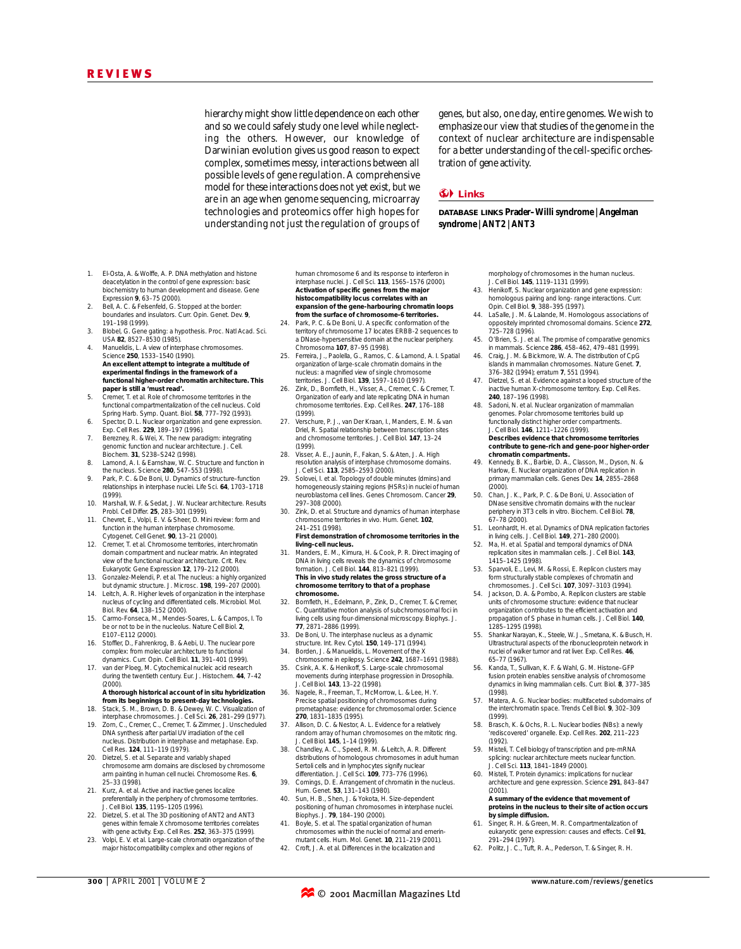hierarchy might show little dependence on each other and so we could safely study one level while neglecting the others. However, our knowledge of Darwinian evolution gives us good reason to expect complex, sometimes messy, interactions between all possible levels of gene regulation. A comprehensive model for these interactions does not yet exist, but we are in an age when genome sequencing, microarray technologies and proteomics offer high hopes for understanding not just the regulation of groups of

genes, but also, one day, entire genomes. We wish to emphasize our view that studies of the genome in the context of nuclear architecture are indispensable for a better understanding of the cell-specific orchestration of gene activity.

# **Links**

**DATABASE LINKS Prader–Willi syndrome | Angelman syndrome |** *ANT2* **|** *ANT3*

- 1. El-Osta, A. & Wolffe, A. P. DNA methylation and histone deacetylation in the control of gene expression: basic biochemistry to human development and disease. *Gene Expression* **9**, 63–75 (2000).
- 2. Bell, A. C. & Felsenfeld, G. Stopped at the border: boundaries and insulators. *Curr. Opin. Genet. Dev.* **9**, 191–198 (1999).
- 3. Blobel, G. Gene gating: a hypothesis. *Proc. Natl Acad. Sci. USA* **82**, 8527–8530 (1985).
- 4. Manuelidis, L. A view of interphase chromosomes. *Science* **250**, 1533–1540 (1990). **An excellent attempt to integrate a multitude of experimental findings in the framework of a functional higher-order chromatin architecture. This paper is still a 'must read'.**
- 5. Cremer, T. *et al.* Role of chromosome territories in the functional compartmentalization of the cell nucleus. *Cold*
- *Spring Harb. Symp. Quant. Biol.* **58**, 777–792 (1993). 6. Spector, D. L. Nuclear organization and gene expression. *Exp. Cell Res.* **229**, 189–197 (1996).
- 7. Berezney, R. & Wei, X. The new paradigm: integrating genomic function and nuclear architecture. *J. Cell. Biochem.* **31**, S238–S242 (1998).
- 8. Lamond, A. I. & Earnshaw, W. C. Structure and function in the nucleus. *Science* **280**, 547–553 (1998).
- 9. Park, P. C. & De Boni, U. Dynamics of structure–function relationships in interphase nuclei. *Life Sci.* **64**, 1703–1718 (1999).
- 10. Marshall, W. F. & Sedat, J. W. Nuclear architecture. *Results Probl. Cell Differ.* **25**, 283–301 (1999). 11. Chevret, E., Volpi, E. V. & Sheer, D. Mini review: form and
- function in the human interphase chromosome.
- *Cytogenet. Cell Genet.* **90**, 13–21 (2000). 12. Cremer, T. *et al.* Chromosome territories, interchromatin domain compartment and nuclear matrix. An integrated view of the functional nuclear architecture. *Crit. Rev. Eukaryotic Gene Expression* **12**, 179–212 (2000).
- 13. Gonzalez-Melendi, P. *et al.* The nucleus: a highly organized but dynamic structure. *J. Microsc.* **198**, 199–207 (2000).
- 14. Leitch, A. R. Higher levels of organization in the interphase nucleus of cycling and differentiated cells. *Microbiol. Mol. Biol. Rev.* **64**, 138–152 (2000).
- 15. Carmo-Fonseca, M., Mendes-Soares, L. & Campos, I. To be or not to be in the nucleolus. *Nature Cell Biol.* **2**, E107–E112 (2000).
- 16. Stoffler, D., Fahrenkrog, B. & Aebi, U. The nuclear pore complex: from molecular architecture to functional
- dynamics. *Curr. Opin. Cell Biol.* **11**, 391–401 (1999). 17. van der Ploeg, M. Cytochemical nucleic acid research during the twentieth century. *Eur. J. Histochem.* **44**, 7–42  $(2000)$ .

# **A thorough historical account of** *in situ* **hybridization**

- **from its beginnings to present-day technologies.** 18. Stack, S. M., Brown, D. B. & Dewey, W. C. Visualization of interphase chromosomes. *J. Cell Sci.* **26**, 281–299 (1977). 19. Zorn, C., Cremer, C., Cremer, T. & Zimmer, J. Unscheduled
- DNA synthesis after partial UV irradiation of the cell nucleus. Distribution in interphase and metaphase. *Exp. Cell Res.* **124**, 111–119 (1979).
- 20. Dietzel, S. *et al.* Separate and variably shaped chromosome arm domains are disclosed by chromosome arm painting in human cell nuclei. *Chromosome Res.* **6**, 25–33 (1998).
- 21. Kurz, A. *et al.* Active and inactive genes localize preferentially in the periphery of chromosome territories. *J. Cell Biol.* **135**, 1195–1205 (1996).
- 22. Dietzel, S. *et al.* The 3D positioning of *ANT2* and *ANT3* genes within female X chromosome territories correlates with gene activity. *Exp. Cell Res.* **252**, 363–375 (1999).
- 23. Volpi, E. V. *et al.* Large-scale chromatin organization of the major histocompatibility complex and other regions of

human chromosome 6 and its response to interferon in interphase nuclei. *J. Cell Sci.* **113**, 1565–1576 (2000). **Activation of specific genes from the major histocompatibility locus correlates with an expansion of the gene-harbouring chromatin loops from the surface of chromosome-6 territories.**

- Park, P. C. & De Boni, U. A specific conformation of the territory of chromosome 17 locates ERBB-2 sequences to a DNase-hypersensitive domain at the nuclear periphery. *Chromosoma* **107**, 87–95 (1998).
- 25. Ferreira, J., Paolella, G., Ramos, C. & Lamond, A. I. Spatial organization of large-scale chromatin domains in the nucleus: a magnified view of single chromosome territories. *J. Cell Biol.* **139**, 1597–1610 (1997).
- Zink, D., Bornfleth, H., Visser, A., Cremer, C. & Cremer, T. Organization of early and late replicating DNA in human chromosome territories. *Exp. Cell Res.* **247**, 176–188 (1999).
- 27. Verschure, P. J., van Der Kraan, I., Manders, E. M. & van Driel, R. Spatial relationship between transcription sites and chromosome territories. *J. Cell Biol.* **147**, 13–24 (1999).
- 28. Visser, A. E., Jaunin, F., Fakan, S. & Aten, J. A. High resolution analysis of interphase chromosome domains. *J. Cell Sci.* **113**, 2585–2593 (2000).
- 29. Solovei, I. *et al.* Topology of double minutes (dmins) and homogeneously staining regions (HSRs) in nuclei of human neuroblastoma cell lines. *Genes Chromosom. Cancer* **29**, 297–308 (2000).
- Zink, D. *et al.* Structure and dynamics of human interphase chromosome territories *in vivo*. *Hum. Genet.* **102**, 241–251 (1998). **First demonstration of chromosome territories in the**

# **living-cell nucleus.**

- 31. Manders, E. M., Kimura, H. & Cook, P. R. Direct imaging of DNA in living cells reveals the dynamics of chromosome formation. *J. Cell Biol.* **144**, 813–821 (1999). **This** *in vivo* **study relates the gross structure of a chromosome territory to that of a prophase**
- **chromosome.** 32. Bornfleth, H., Edelmann, P., Zink, D., Cremer, T. & Cremer, C. Quantitative motion analysis of subchromosomal foci in living cells using four-dimensional microscopy. *Biophys. J.* **77**, 2871–2886 (1999).
- 33. De Boni, U. The interphase nucleus as a dynamic structure. *Int. Rev. Cytol.* **150**, 149–171 (1994).
- Borden, J. & Manuelidis, L. Movement of the X
- chromosome in epilepsy. *Science* **242**, 1687–1691 (1988). 35. Csink, A. K. & Henikoff, S. Large-scale chromosomal movements during interphase progression in *Drosophila*. *J. Cell Biol.* **143**, 13–22 (1998).
- 36. Nagele, R., Freeman, T., McMorrow, L. & Lee, H. Y. Precise spatial positioning of chromosomes during prometaphase: evidence for chromosomal order. *Science*
- **270**, 1831–1835 (1995). 37. Allison, D. C. & Nestor, A. L. Evidence for a relatively random array of human chromosomes on the mitotic ring. *J. Cell Biol*. **145**, 1–14 (1999).
- 38. Chandley, A. C., Speed, R. M. & Leitch, A. R. Different distributions of homologous chromosomes in adult human Sertoli cells and in lymphocytes signify nuclear differentiation. *J. Cell Sci.* **109**, 773–776 (1996).
- 39. Comings, D. E. Arrangement of chromatin in the nucleus. *Hum. Genet.* **53**, 131–143 (1980).
- 40. Sun, H. B., Shen, J. & Yokota, H. Size-dependent positioning of human chromosomes in interphase nuclei. *Biophys. J.* **79**, 184–190 (2000).
- 41. Boyle, S. *et al.* The spatial organization of human chromosomes within the nuclei of normal and emerinmutant cells. *Hum. Mol. Genet.* **10**, 211–219 (2001).
- 42. Croft, J. A. *et al.* Differences in the localization and

morphology of chromosomes in the human nucleus. *J. Cell Biol.* **145**, 1119–1131 (1999).

- 43. Henikoff, S. Nuclear organization and gene expression: homologous pairing and long- range interactions. *Curr. Opin. Cell Biol.* **9**, 388–395 (1997).
- 44. LaSalle, J. M. & Lalande, M. Homologous associations of oppositely imprinted chromosomal domains. *Science* **272**,
- 725–728 (1996). 45. O'Brien, S. J. *et al.* The promise of comparative genomics in mammals. *Science* **286**, 458–462, 479–481 (1999).
- 46. Craig, J. M. & Bickmore, W. A. The distribution of CpG islands in mammalian chromosomes. *Nature Genet.* **7**, 376–382 (1994); erratum **7**, 551 (1994).
- 47. Dietzel, S. *et al.* Evidence against a looped structure of the inactive human X-chromosome territory. *Exp. Cell Res.*
- **240**, 187–196 (1998). 48. Sadoni, N. *et al.* Nuclear organization of mammalian genomes. Polar chromosome territories build up functionally distinct higher order compartments. *J. Cell Biol.* **146**, 1211–1226 (1999). **Describes evidence that chromosome territories contribute to gene-rich and gene-poor higher-order**
- **chromatin compartments.** 49. Kennedy, B. K., Barbie, D. A., Classon, M., Dyson, N. & Harlow, E. Nuclear organization of DNA replication in primary mammalian cells. *Genes Dev.* **14**, 2855–2868 .<br>(2000)
- 50. Chan, J. K., Park, P. C. & De Boni, U. Association of DNase sensitive chromatin domains with the nuclear periphery in 3T3 cells *in vitro*. *Biochem. Cell Biol.* **78**, 67–78 (2000).
- 51. Leonhardt, H. *et al.* Dynamics of DNA replication factories in living cells. *J. Cell Biol.* **149**, 271–280 (2000).
- 52. Ma, H. *et al.* Spatial and temporal dynamics of DNA replication sites in mammalian cells. *J. Cell Biol.* **143**, 1415–1425 (1998).
- 53. Sparvoli, E., Levi, M. & Rossi, E. Replicon clusters may form structurally stable complexes of chromatin and chromosomes. *J. Cell Sci.* **107**, 3097–3103 (1994).
- Jackson, D. A. & Pombo, A. Replicon clusters are stable units of chromosome structure: evidence that nuclear organization contributes to the efficient activation and propagation of S phase in human cells. *J. Cell Biol.* **140**, 1285–1295 (1998).
- 55. Shankar Narayan, K., Steele, W. J., Smetana, K. & Busch, H. Ultrastructural aspects of the ribonucleoprotein network in nuclei of walker tumor and rat liver. *Exp. Cell Res.* **46**, 65–77 (1967).
- 56. Kanda, T., Sullivan, K. F. & Wahl, G. M. Histone–GFP fusion protein enables sensitive analysis of chromosome dynamics in living mammalian cells. *Curr. Biol.* **8**, 377–385 (1998).
- 57. Matera, A. G. Nuclear bodies: multifaceted subdomains of the interchromatin space. *Trends Cell Biol.* **9**, 302–309 (1999).
- 58. Brasch, K. & Ochs, R. L. Nuclear bodies (NBs): a newly 'rediscovered' organelle. *Exp. Cell Res.* **202**, 211–223 (1992).
- Misteli, T. Cell biology of transcription and pre-mRNA splicing: nuclear architecture meets nuclear function. *J. Cell Sci.* **113**, 1841–1849 (2000).
- Misteli, T. Protein dynamics: implications for nuclear architecture and gene expression. *Science* **291**, 843–847 (2001).

#### **A summary of the evidence that movement of proteins in the nucleus to their site of action occurs by simple diffusion.**

- 61. Singer, R. H. & Green, M. R. Compartmentalization of eukaryotic gene expression: causes and effects. *Cell* **91**, 291–294 (1997).
- 62. Politz, J. C., Tuft, R. A., Pederson, T. & Singer, R. H.